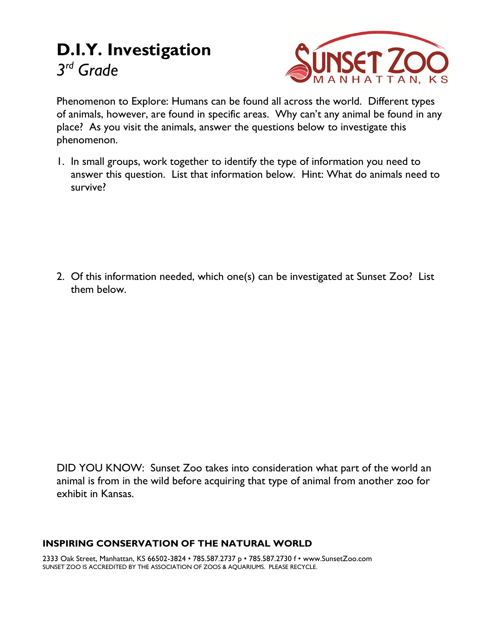# **D.I.Y. Investigation** *3 rd Grade*



Phenomenon to Explore: Humans can be found all across the world. Different types of animals, however, are found in specific areas. Why can't any animal be found in any place? As you visit the animals, answer the questions below to investigate this phenomenon.

1. In small groups, work together to identify the type of information you need to answer this question. List that information below. Hint: What do animals need to survive?

2. Of this information needed, which one(s) can be investigated at Sunset Zoo? List them below.

DID YOU KNOW: Sunset Zoo takes into consideration what part of the world an animal is from in the wild before acquiring that type of animal from another zoo for exhibit in Kansas.

#### **INSPIRING CONSERVATION OF THE NATURAL WORLD**

2333 Oak Street, Manhattan, KS 66502-3824 • 785.587.2737 p • 785.587.2730 f • www.SunsetZoo.com SUNSET ZOO IS ACCREDITED BY THE ASSOCIATION OF ZOOS & AQUARIUMS. PLEASE RECYCLE.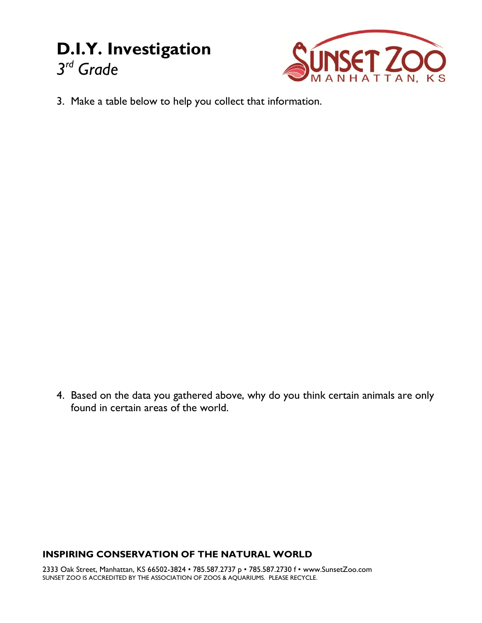## **D.I.Y. Investigation** *3 rd Grade*



3. Make a table below to help you collect that information.

4. Based on the data you gathered above, why do you think certain animals are only found in certain areas of the world.

#### **INSPIRING CONSERVATION OF THE NATURAL WORLD**

2333 Oak Street, Manhattan, KS 66502-3824 • 785.587.2737 p • 785.587.2730 f • www.SunsetZoo.com SUNSET ZOO IS ACCREDITED BY THE ASSOCIATION OF ZOOS & AQUARIUMS. PLEASE RECYCLE.